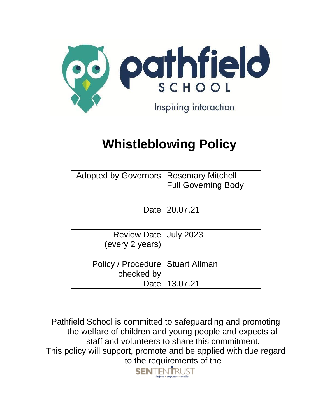

# **Whistleblowing Policy**

| Adopted by Governors   Rosemary Mitchell   | <b>Full Governing Body</b> |  |
|--------------------------------------------|----------------------------|--|
|                                            | Date   20.07.21            |  |
| Review Date   July 2023<br>(every 2 years) |                            |  |
| Policy / Procedure<br>checked by           | Stuart Allman              |  |
|                                            | Date   13.07.21            |  |

Pathfield School is committed to safeguarding and promoting the welfare of children and young people and expects all staff and volunteers to share this commitment. This policy will support, promote and be applied with due regard to the requirements of the<br> **SENTIENTRUST** 

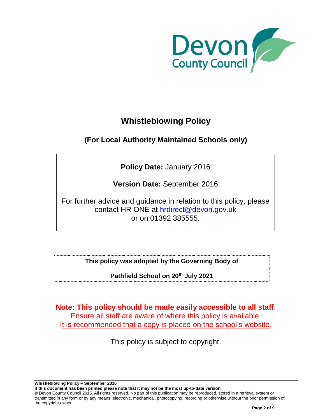

# **Whistleblowing Policy**

# **(For Local Authority Maintained Schools only)**

**Policy Date:** January 2016

**Version Date:** September 2016

For further advice and guidance in relation to this policy, please contact HR ONE at [hrdirect@devon.gov.uk](mailto:hrdirect@devon.gov.uk) or on 01392 385555.

**This policy was adopted by the Governing Body of**

**Pathfield School on 20th July 2021**

**Note: This policy should be made easily accessible to all staff**. Ensure all staff are aware of where this policy is available. It is recommended that a copy is placed on the school's website.

This policy is subject to copyright.

**Whistleblowing Policy – September 2016**

**If this document has been printed please note that it may not be the most up-to-date version.**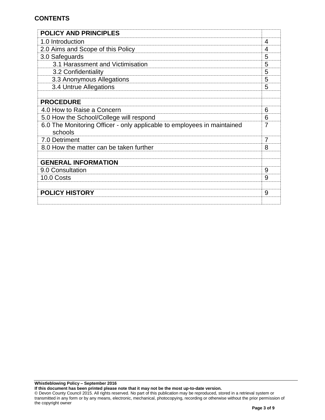# **CONTENTS**

| <b>POLICY AND PRINCIPLES</b>                                                       |   |
|------------------------------------------------------------------------------------|---|
| 1.0 Introduction                                                                   | 4 |
| 2.0 Aims and Scope of this Policy                                                  | 4 |
| 3.0 Safeguards                                                                     | 5 |
| 3.1 Harassment and Victimisation                                                   | 5 |
| 3.2 Confidentiality                                                                | 5 |
| 3.3 Anonymous Allegations                                                          | 5 |
| 3.4 Untrue Allegations                                                             | 5 |
|                                                                                    |   |
| <b>PROCEDURE</b>                                                                   |   |
| 4.0 How to Raise a Concern                                                         | 6 |
| 5.0 How the School/College will respond                                            | 6 |
| 6.0 The Monitoring Officer - only applicable to employees in maintained<br>schools | 7 |
| 7.0 Detriment                                                                      | 7 |
| 8.0 How the matter can be taken further                                            | 8 |
|                                                                                    |   |
| <b>GENERAL INFORMATION</b>                                                         |   |
| 9.0 Consultation                                                                   | 9 |
| 10.0 Costs                                                                         | 9 |
|                                                                                    |   |
| <b>POLICY HISTORY</b>                                                              | 9 |
|                                                                                    |   |

**If this document has been printed please note that it may not be the most up-to-date version.**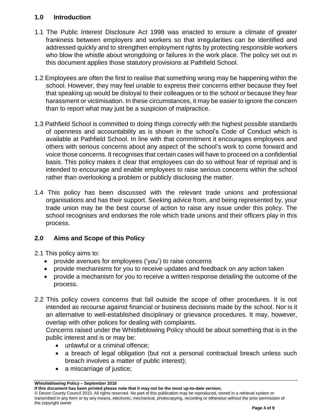# **1.0 Introduction**

- 1.1 The Public Interest Disclosure Act 1998 was enacted to ensure a climate of greater frankness between employers and workers so that irregularities can be identified and addressed quickly and to strengthen employment rights by protecting responsible workers who blow the whistle about wrongdoing or failures in the work place. The policy set out in this document applies those statutory provisions at Pathfield School.
- 1.2 Employees are often the first to realise that something wrong may be happening within the school. However, they may feel unable to express their concerns either because they feel that speaking up would be disloyal to their colleagues or to the school or because they fear harassment or victimisation. In these circumstances, it may be easier to ignore the concern than to report what may just be a suspicion of malpractice.
- 1.3 Pathfield School is committed to doing things correctly with the highest possible standards of openness and accountability as is shown in the school's Code of Conduct which is available at Pathfield School. In line with that commitment it encourages employees and others with serious concerns about any aspect of the school's work to come forward and voice those concerns. It recognises that certain cases will have to proceed on a confidential basis. This policy makes it clear that employees can do so without fear of reprisal and is intended to encourage and enable employees to raise serious concerns within the school rather than overlooking a problem or publicly disclosing the matter.
- 1.4 This policy has been discussed with the relevant trade unions and professional organisations and has their support. Seeking advice from, and being represented by, your trade union may be the best course of action to raise any issue under this policy. The school recognises and endorses the role which trade unions and their officers play in this process.

# **2.0 Aims and Scope of this Policy**

- 2.1 This policy aims to:
	- provide avenues for employees ('you') to raise concerns
	- provide mechanisms for you to receive updates and feedback on any action taken
	- provide a mechanism for you to receive a written response detailing the outcome of the process.
- 2.2 This policy covers concerns that fall outside the scope of other procedures. It is not intended as recourse against financial or business decisions made by the school. Nor is it an alternative to well-established disciplinary or grievance procedures. It may, however, overlap with other polices for dealing with complaints.

Concerns raised under the Whistleblowing Policy should be about something that is in the public interest and is or may be:

- unlawful or a criminal offence:
- a breach of legal obligation (but not a personal contractual breach unless such breach involves a matter of public interest);
- a miscarriage of justice;

**Whistleblowing Policy – September 2016**

**If this document has been printed please note that it may not be the most up-to-date version.**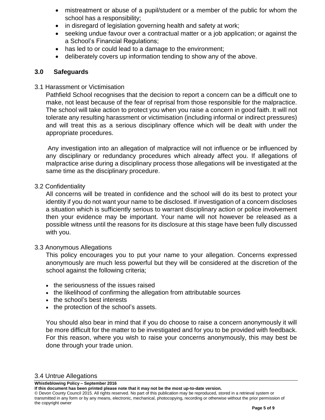- mistreatment or abuse of a pupil/student or a member of the public for whom the school has a responsibility;
- in disregard of legislation governing health and safety at work;
- seeking undue favour over a contractual matter or a job application; or against the a School's Financial Regulations;
- has led to or could lead to a damage to the environment;
- deliberately covers up information tending to show any of the above.

#### **3.0 Safeguards**

3.1 Harassment or Victimisation

Pathfield School recognises that the decision to report a concern can be a difficult one to make, not least because of the fear of reprisal from those responsible for the malpractice. The school will take action to protect you when you raise a concern in good faith. It will not tolerate any resulting harassment or victimisation (including informal or indirect pressures) and will treat this as a serious disciplinary offence which will be dealt with under the appropriate procedures.

Any investigation into an allegation of malpractice will not influence or be influenced by any disciplinary or redundancy procedures which already affect you. If allegations of malpractice arise during a disciplinary process those allegations will be investigated at the same time as the disciplinary procedure.

#### 3.2 Confidentiality

All concerns will be treated in confidence and the school will do its best to protect your identity if you do not want your name to be disclosed. If investigation of a concern discloses a situation which is sufficiently serious to warrant disciplinary action or police involvement then your evidence may be important. Your name will not however be released as a possible witness until the reasons for its disclosure at this stage have been fully discussed with you.

### 3.3 Anonymous Allegations

This policy encourages you to put your name to your allegation. Concerns expressed anonymously are much less powerful but they will be considered at the discretion of the school against the following criteria;

- the seriousness of the issues raised
- the likelihood of confirming the allegation from attributable sources
- the school's best interests
- the protection of the school's assets.

You should also bear in mind that if you do choose to raise a concern anonymously it will be more difficult for the matter to be investigated and for you to be provided with feedback. For this reason, where you wish to raise your concerns anonymously, this may best be done through your trade union.

**Whistleblowing Policy – September 2016**

**If this document has been printed please note that it may not be the most up-to-date version.**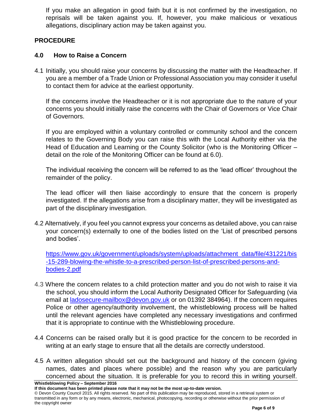If you make an allegation in good faith but it is not confirmed by the investigation, no reprisals will be taken against you. If, however, you make malicious or vexatious allegations, disciplinary action may be taken against you.

# **PROCEDURE**

# **4.0 How to Raise a Concern**

4.1 Initially, you should raise your concerns by discussing the matter with the Headteacher. If you are a member of a Trade Union or Professional Association you may consider it useful to contact them for advice at the earliest opportunity.

If the concerns involve the Headteacher or it is not appropriate due to the nature of your concerns you should initially raise the concerns with the Chair of Governors or Vice Chair of Governors.

If you are employed within a voluntary controlled or community school and the concern relates to the Governing Body you can raise this with the Local Authority either via the Head of Education and Learning or the County Solicitor (who is the Monitoring Officer – detail on the role of the Monitoring Officer can be found at 6.0).

The individual receiving the concern will be referred to as the 'lead officer' throughout the remainder of the policy.

The lead officer will then liaise accordingly to ensure that the concern is properly investigated. If the allegations arise from a disciplinary matter, they will be investigated as part of the disciplinary investigation.

4.2 Alternatively, if you feel you cannot express your concerns as detailed above, you can raise your concern(s) externally to one of the bodies listed on the 'List of prescribed persons and bodies'.

[https://www.gov.uk/government/uploads/system/uploads/attachment\\_data/file/431221/bis](https://www.gov.uk/government/uploads/system/uploads/attachment_data/file/431221/bis-15-289-blowing-the-whistle-to-a-prescribed-person-list-of-prescribed-persons-and-bodies-2.pdf) [-15-289-blowing-the-whistle-to-a-prescribed-person-list-of-prescribed-persons-and](https://www.gov.uk/government/uploads/system/uploads/attachment_data/file/431221/bis-15-289-blowing-the-whistle-to-a-prescribed-person-list-of-prescribed-persons-and-bodies-2.pdf)[bodies-2.pdf](https://www.gov.uk/government/uploads/system/uploads/attachment_data/file/431221/bis-15-289-blowing-the-whistle-to-a-prescribed-person-list-of-prescribed-persons-and-bodies-2.pdf)

- 4.3 Where the concern relates to a child protection matter and you do not wish to raise it via the school, you should inform the Local Authority Designated Officer for Safeguarding (via email at [ladosecure-mailbox@devon.gov.uk](mailto:ladosecure-mailbox@devon.gov.uk) or on 01392 384964). If the concern requires Police or other agency/authority involvement, the whistleblowing process will be halted until the relevant agencies have completed any necessary investigations and confirmed that it is appropriate to continue with the Whistleblowing procedure.
- 4.4 Concerns can be raised orally but it is good practice for the concern to be recorded in writing at an early stage to ensure that all the details are correctly understood.
- **Whistleblowing Policy – September 2016** 4.5 A written allegation should set out the background and history of the concern (giving names, dates and places where possible) and the reason why you are particularly concerned about the situation. It is preferable for you to record this in writing yourself.

**If this document has been printed please note that it may not be the most up-to-date version.**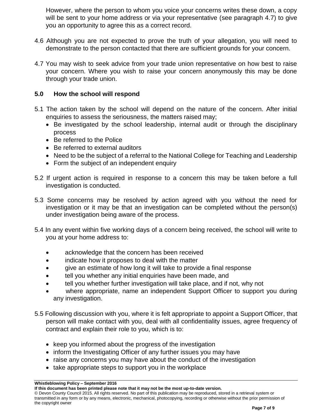However, where the person to whom you voice your concerns writes these down, a copy will be sent to your home address or via your representative (see paragraph 4.7) to give you an opportunity to agree this as a correct record.

- 4.6 Although you are not expected to prove the truth of your allegation, you will need to demonstrate to the person contacted that there are sufficient grounds for your concern.
- 4.7 You may wish to seek advice from your trade union representative on how best to raise your concern. Where you wish to raise your concern anonymously this may be done through your trade union.

## **5.0 How the school will respond**

- 5.1 The action taken by the school will depend on the nature of the concern. After initial enquiries to assess the seriousness, the matters raised may;
	- Be investigated by the school leadership, internal audit or through the disciplinary process
	- Be referred to the Police
	- Be referred to external auditors
	- Need to be the subject of a referral to the National College for Teaching and Leadership
	- Form the subject of an independent enquiry
- 5.2 If urgent action is required in response to a concern this may be taken before a full investigation is conducted.
- 5.3 Some concerns may be resolved by action agreed with you without the need for investigation or it may be that an investigation can be completed without the person(s) under investigation being aware of the process.
- 5.4 In any event within five working days of a concern being received, the school will write to you at your home address to:
	- acknowledge that the concern has been received
	- indicate how it proposes to deal with the matter
	- give an estimate of how long it will take to provide a final response
	- tell you whether any initial enquiries have been made, and
	- tell you whether further investigation will take place, and if not, why not
	- where appropriate, name an independent Support Officer to support you during any investigation.
- 5.5 Following discussion with you, where it is felt appropriate to appoint a Support Officer, that person will make contact with you, deal with all confidentiality issues, agree frequency of contract and explain their role to you, which is to:
	- keep you informed about the progress of the investigation
	- inform the Investigating Officer of any further issues you may have
	- raise any concerns you may have about the conduct of the investigation
	- take appropriate steps to support you in the workplace

**Whistleblowing Policy – September 2016**

**If this document has been printed please note that it may not be the most up-to-date version.**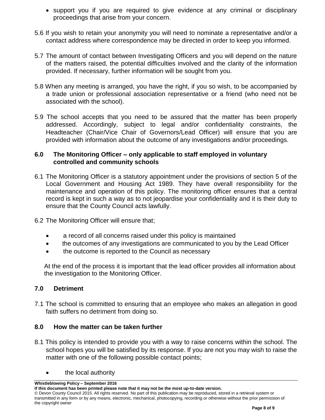- support you if you are required to give evidence at any criminal or disciplinary proceedings that arise from your concern.
- 5.6 If you wish to retain your anonymity you will need to nominate a representative and/or a contact address where correspondence may be directed in order to keep you informed.
- 5.7 The amount of contact between Investigating Officers and you will depend on the nature of the matters raised, the potential difficulties involved and the clarity of the information provided. If necessary, further information will be sought from you.
- 5.8 When any meeting is arranged, you have the right, if you so wish, to be accompanied by a trade union or professional association representative or a friend (who need not be associated with the school).
- 5.9 The school accepts that you need to be assured that the matter has been properly addressed. Accordingly, subject to legal and/or confidentiality constraints, the Headteacher (Chair/Vice Chair of Governors/Lead Officer) will ensure that you are provided with information about the outcome of any investigations and/or proceedings.

# **6.0 The Monitoring Officer – only applicable to staff employed in voluntary controlled and community schools**

- 6.1 The Monitoring Officer is a statutory appointment under the provisions of section 5 of the Local Government and Housing Act 1989. They have overall responsibility for the maintenance and operation of this policy. The monitoring officer ensures that a central record is kept in such a way as to not jeopardise your confidentiality and it is their duty to ensure that the County Council acts lawfully.
- 6.2 The Monitoring Officer will ensure that;
	- a record of all concerns raised under this policy is maintained
	- the outcomes of any investigations are communicated to you by the Lead Officer
	- the outcome is reported to the Council as necessary

At the end of the process it is important that the lead officer provides all information about the investigation to the Monitoring Officer.

# **7.0 Detriment**

7.1 The school is committed to ensuring that an employee who makes an allegation in good faith suffers no detriment from doing so.

### **8.0 How the matter can be taken further**

- 8.1 This policy is intended to provide you with a way to raise concerns within the school. The school hopes you will be satisfied by its response. If you are not you may wish to raise the matter with one of the following possible contact points;
	- the local authority

**Whistleblowing Policy – September 2016**

**If this document has been printed please note that it may not be the most up-to-date version.**